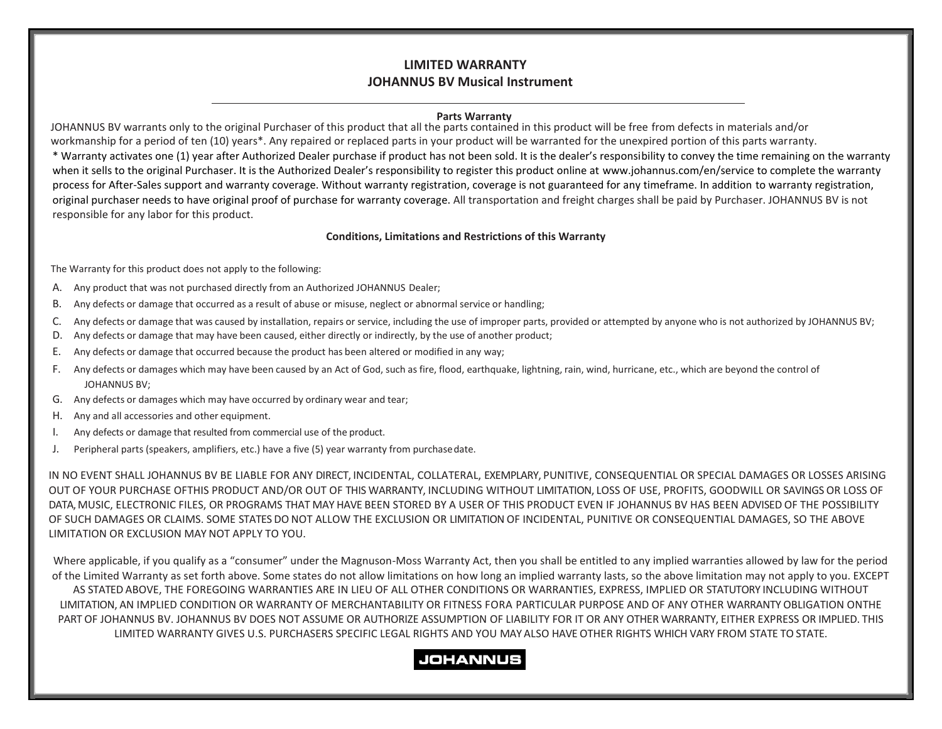## **LIMITED WARRANTY JOHANNUS BV Musical Instrument**

#### **Parts Warranty**

JOHANNUS BV warrants only to the original Purchaser of this product that all the parts contained in this product will be free from defects in materials and/or workmanship for a period of ten (10) years\*. Any repaired or replaced parts in your product will be warranted for the unexpired portion of this parts warranty.

\* Warranty activates one (1) year after Authorized Dealer purchase if product has not been sold. It is the dealer's responsibility to convey the time remaining on the warranty when it sells to the original Purchaser. It is the Authorized Dealer's responsibility to register this product online at [www.johannus.com/en/service](http://www.rodgersinstruments.com/warranty) to complete the warranty process for After-Sales support and warranty coverage. Without warranty registration, coverage is not guaranteed for any timeframe. In addition to warranty registration, original purchaser needs to have original proof of purchase for warranty coverage. All transportation and freight charges shall be paid by Purchaser. JOHANNUS BV is not responsible for any labor for this product.

#### **Conditions, Limitations and Restrictions of this Warranty**

The Warranty for this product does not apply to the following:

- A. Any product that was not purchased directly from an Authorized JOHANNUS Dealer;
- B. Any defects or damage that occurred as a result of abuse or misuse, neglect or abnormal service or handling;
- C. Any defects or damage that was caused by installation, repairs or service, including the use of improper parts, provided or attempted by anyone who is not authorized by JOHANNUS BV;
- D. Any defects or damage that may have been caused, either directly or indirectly, by the use of another product;
- E. Any defects or damage that occurred because the product has been altered or modified in any way;
- F. Any defects or damages which may have been caused by an Act of God, such as fire, flood, earthquake, lightning, rain, wind, hurricane, etc., which are beyond the control of JOHANNUS BV;
- G. Any defects or damages which may have occurred by ordinary wear and tear;
- H. Any and all accessories and other equipment.
- I. Any defects or damage that resulted from commercial use of the product.
- J. Peripheral parts (speakers, amplifiers, etc.) have a five (5) year warranty from purchasedate.

IN NO EVENT SHALL JOHANNUS BV BE LIABLE FOR ANY DIRECT, INCIDENTAL, COLLATERAL, EXEMPLARY, PUNITIVE, CONSEQUENTIAL OR SPECIAL DAMAGES OR LOSSES ARISING OUT OF YOUR PURCHASE OFTHIS PRODUCT AND/OR OUT OF THIS WARRANTY, INCLUDING WITHOUT LIMITATION, LOSS OF USE, PROFITS, GOODWILL OR SAVINGS OR LOSS OF DATA, MUSIC, ELECTRONIC FILES, OR PROGRAMS THAT MAY HAVE BEEN STORED BY A USER OF THIS PRODUCT EVEN IF JOHANNUS BV HAS BEEN ADVISED OF THE POSSIBILITY OF SUCH DAMAGES OR CLAIMS. SOME STATES DO NOT ALLOW THE EXCLUSION OR LIMITATION OF INCIDENTAL, PUNITIVE OR CONSEQUENTIAL DAMAGES, SO THE ABOVE LIMITATION OR EXCLUSION MAY NOT APPLY TO YOU.

Where applicable, if you qualify as a "consumer" under the Magnuson-Moss Warranty Act, then you shall be entitled to any implied warranties allowed by law for the period of the Limited Warranty as set forth above. Some states do not allow limitations on how long an implied warranty lasts, so the above limitation may not apply to you. EXCEPT AS STATED ABOVE, THE FOREGOING WARRANTIES ARE IN LIEU OF ALL OTHER CONDITIONS OR WARRANTIES, EXPRESS, IMPLIED OR STATUTORY INCLUDING WITHOUT LIMITATION, AN IMPLIED CONDITION OR WARRANTY OF MERCHANTABILITY OR FITNESS FORA PARTICULAR PURPOSE AND OF ANY OTHER WARRANTY OBLIGATION ONTHE PART OF JOHANNUS BV. JOHANNUS BV DOES NOT ASSUME OR AUTHORIZE ASSUMPTION OF LIABILITY FOR IT OR ANY OTHER WARRANTY, EITHER EXPRESS OR IMPLIED. THIS LIMITED WARRANTY GIVES U.S. PURCHASERS SPECIFIC LEGAL RIGHTS AND YOU MAY ALSO HAVE OTHER RIGHTS WHICH VARY FROM STATE TO STATE.

# **JOHANNUS**